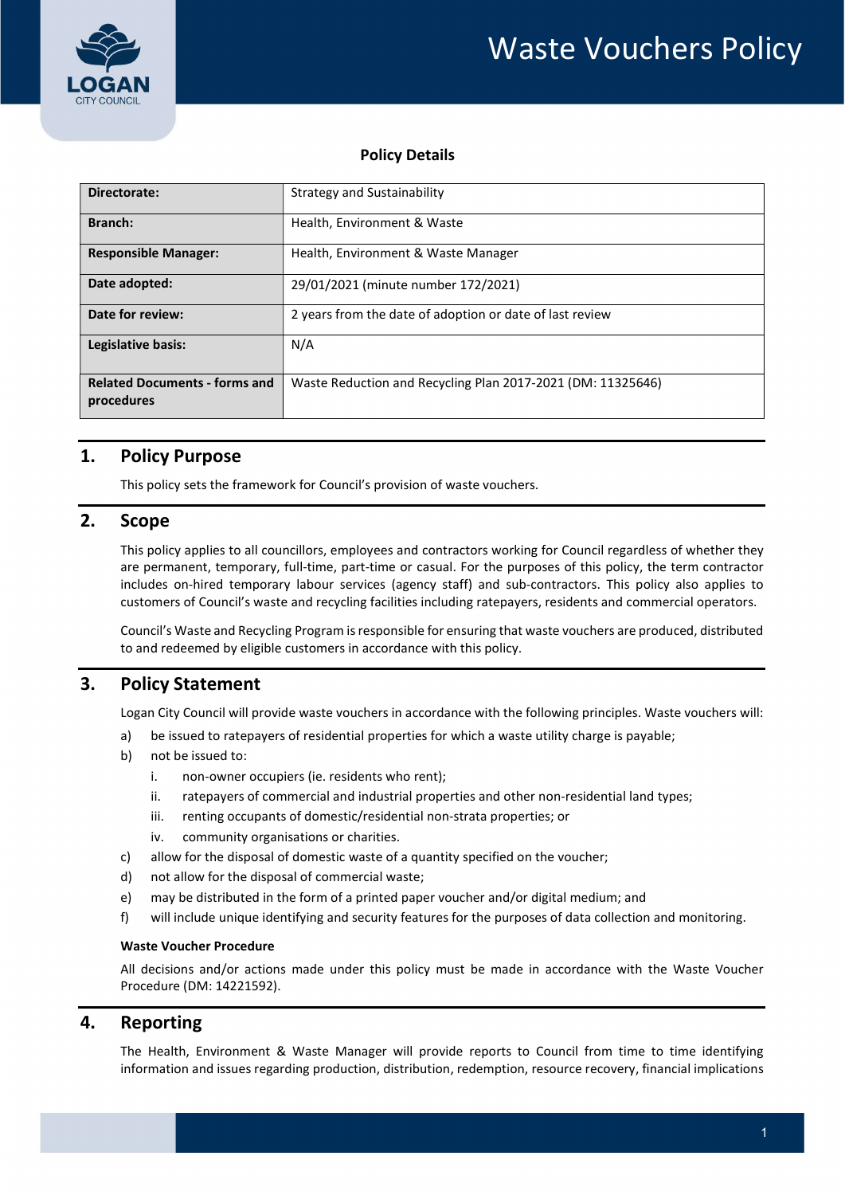

### Policy Details

| Directorate:                                       | Strategy and Sustainability                                 |  |  |
|----------------------------------------------------|-------------------------------------------------------------|--|--|
| Branch:                                            | Health, Environment & Waste                                 |  |  |
| <b>Responsible Manager:</b>                        | Health, Environment & Waste Manager                         |  |  |
| Date adopted:                                      | 29/01/2021 (minute number 172/2021)                         |  |  |
| Date for review:                                   | 2 years from the date of adoption or date of last review    |  |  |
| Legislative basis:                                 | N/A                                                         |  |  |
| <b>Related Documents - forms and</b><br>procedures | Waste Reduction and Recycling Plan 2017-2021 (DM: 11325646) |  |  |

# 1. Policy Purpose

This policy sets the framework for Council's provision of waste vouchers.

## 2. Scope

 This policy applies to all councillors, employees and contractors working for Council regardless of whether they are permanent, temporary, full-time, part-time or casual. For the purposes of this policy, the term contractor includes on-hired temporary labour services (agency staff) and sub-contractors. This policy also applies to customers of Council's waste and recycling facilities including ratepayers, residents and commercial operators.

Council's Waste and Recycling Program is responsible for ensuring that waste vouchers are produced, distributed to and redeemed by eligible customers in accordance with this policy.

# 3. Policy Statement

Logan City Council will provide waste vouchers in accordance with the following principles. Waste vouchers will:

- a) be issued to ratepayers of residential properties for which a waste utility charge is payable;
- b) not be issued to:
	- i. non-owner occupiers (ie. residents who rent);
	- ii. ratepayers of commercial and industrial properties and other non-residential land types;
	- iii. renting occupants of domestic/residential non-strata properties; or
	- iv. community organisations or charities.
- c) allow for the disposal of domestic waste of a quantity specified on the voucher;
- d) not allow for the disposal of commercial waste;
- e) may be distributed in the form of a printed paper voucher and/or digital medium; and
- f) will include unique identifying and security features for the purposes of data collection and monitoring.

### Waste Voucher Procedure

 All decisions and/or actions made under this policy must be made in accordance with the Waste Voucher Procedure (DM: 14221592).

### 4. Reporting

 The Health, Environment & Waste Manager will provide reports to Council from time to time identifying information and issues regarding production, distribution, redemption, resource recovery, financial implications